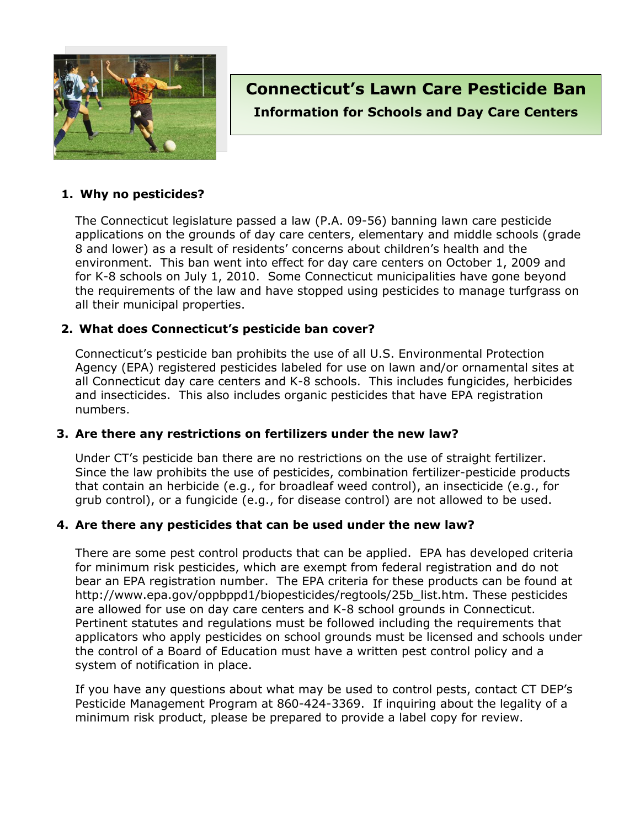

# **Connecticut's Lawn Care Pesticide Ban Information for Schools and Day Care Centers**

#### **1. Why no pesticides?**

The Connecticut legislature passed a law (P.A. 09-56) banning lawn care pesticide applications on the grounds of day care centers, elementary and middle schools (grade 8 and lower) as a result of residents' concerns about children's health and the environment. This ban went into effect for day care centers on October 1, 2009 and for K-8 schools on July 1, 2010. Some Connecticut municipalities have gone beyond the requirements of the law and have stopped using pesticides to manage turfgrass on all their municipal properties.

#### **2. What does Connecticut's pesticide ban cover?**

Connecticut's pesticide ban prohibits the use of all U.S. Environmental Protection Agency (EPA) registered pesticides labeled for use on lawn and/or ornamental sites at all Connecticut day care centers and K-8 schools. This includes fungicides, herbicides and insecticides. This also includes organic pesticides that have EPA registration numbers.

#### **3. Are there any restrictions on fertilizers under the new law?**

Under CT's pesticide ban there are no restrictions on the use of straight fertilizer. Since the law prohibits the use of pesticides, combination fertilizer-pesticide products that contain an herbicide (e.g., for broadleaf weed control), an insecticide (e.g., for grub control), or a fungicide (e.g., for disease control) are not allowed to be used.

#### **4. Are there any pesticides that can be used under the new law?**

There are some pest control products that can be applied. EPA has developed criteria for minimum risk pesticides, which are exempt from federal registration and do not bear an EPA registration number. The EPA criteria for these products can be found at http://www.epa.gov/oppbppd1/biopesticides/regtools/25b\_list.htm. These pesticides are allowed for use on day care centers and K-8 school grounds in Connecticut. Pertinent statutes and regulations must be followed including the requirements that applicators who apply pesticides on school grounds must be licensed and schools under the control of a Board of Education must have a written pest control policy and a system of notification in place.

If you have any questions about what may be used to control pests, contact CT DEP's Pesticide Management Program at 860-424-3369. If inquiring about the legality of a minimum risk product, please be prepared to provide a label copy for review.